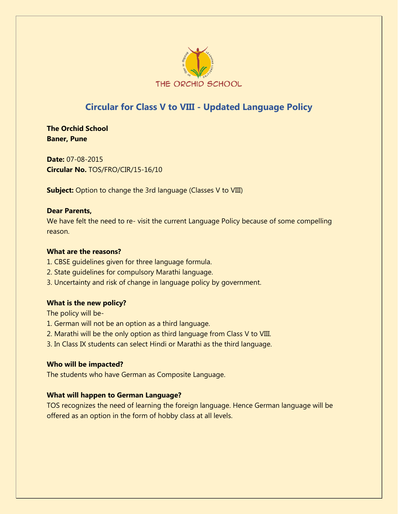

# **Circular for Class V to VIII - Updated Language Policy**

**The Orchid School Baner, Pune** 

**Date:** 07-08-2015 **Circular No.** TOS/FRO/CIR/15-16/10

**Subject:** Option to change the 3rd language (Classes V to VIII)

### **Dear Parents,**

We have felt the need to re- visit the current Language Policy because of some compelling reason.

### **What are the reasons?**

- 1. CBSE guidelines given for three language formula.
- 2. State guidelines for compulsory Marathi language.
- 3. Uncertainty and risk of change in language policy by government.

### **What is the new policy?**

The policy will be-

- 1. German will not be an option as a third language.
- 2. Marathi will be the only option as third language from Class V to VIII.
- 3. In Class IX students can select Hindi or Marathi as the third language.

### **Who will be impacted?**

The students who have German as Composite Language.

## **What will happen to German Language?**

TOS recognizes the need of learning the foreign language. Hence German language will be offered as an option in the form of hobby class at all levels.